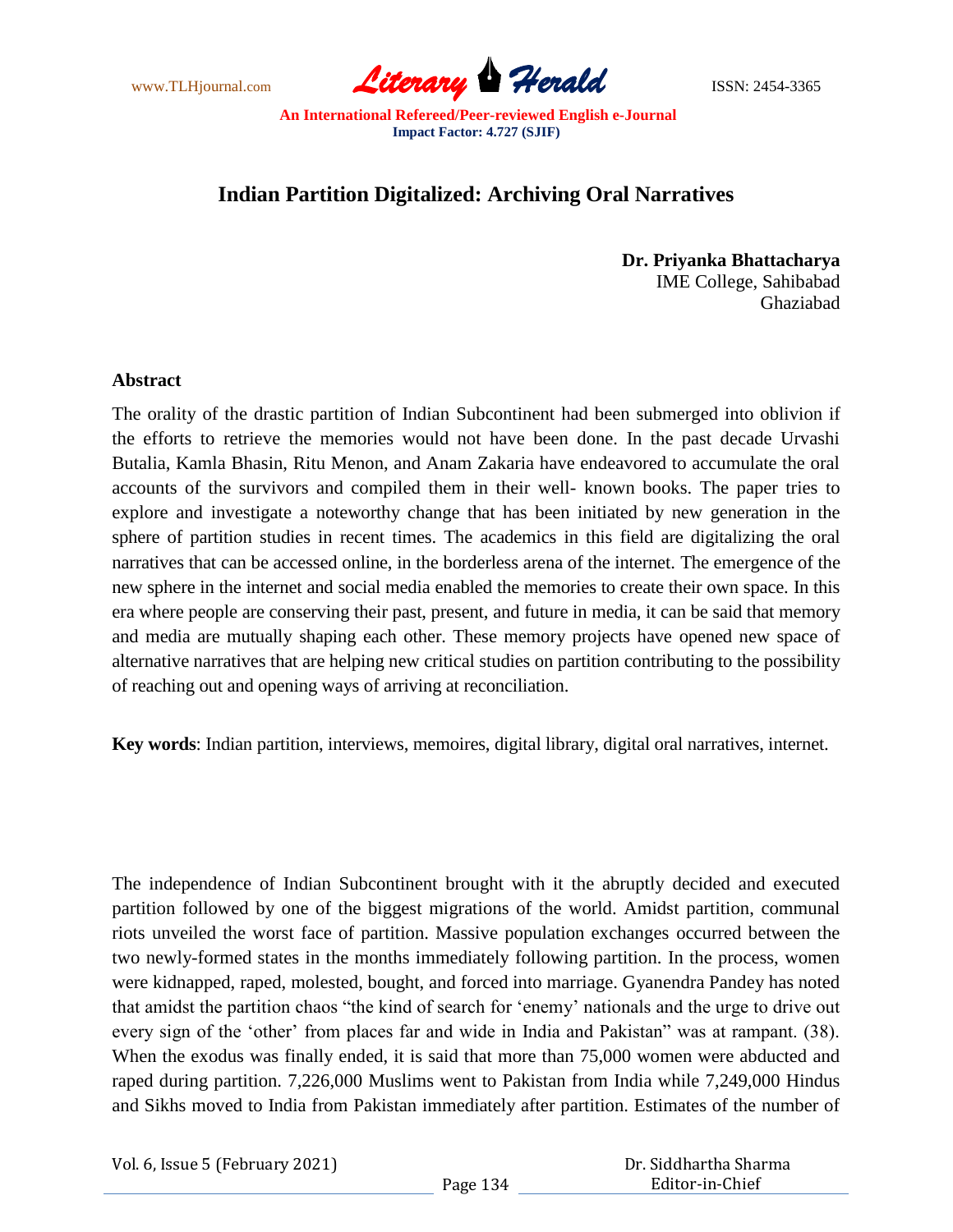www.TLHjournal.com **Literary Herald ISSN: 2454-3365** 

## **Indian Partition Digitalized: Archiving Oral Narratives**

**Dr. Priyanka Bhattacharya** IME College, Sahibabad Ghaziabad

## **Abstract**

The orality of the drastic partition of Indian Subcontinent had been submerged into oblivion if the efforts to retrieve the memories would not have been done. In the past decade Urvashi Butalia, Kamla Bhasin, Ritu Menon, and Anam Zakaria have endeavored to accumulate the oral accounts of the survivors and compiled them in their well- known books. The paper tries to explore and investigate a noteworthy change that has been initiated by new generation in the sphere of partition studies in recent times. The academics in this field are digitalizing the oral narratives that can be accessed online, in the borderless arena of the internet. The emergence of the new sphere in the internet and social media enabled the memories to create their own space. In this era where people are conserving their past, present, and future in media, it can be said that memory and media are mutually shaping each other. These memory projects have opened new space of alternative narratives that are helping new critical studies on partition contributing to the possibility of reaching out and opening ways of arriving at reconciliation.

**Key words**: Indian partition, interviews, memoires, digital library, digital oral narratives, internet.

The independence of Indian Subcontinent brought with it the abruptly decided and executed partition followed by one of the biggest migrations of the world. Amidst partition, communal riots unveiled the worst face of partition. Massive population exchanges occurred between the two newly-formed states in the months immediately following partition. In the process, women were kidnapped, raped, molested, bought, and forced into marriage. Gyanendra Pandey has noted that amidst the partition chaos "the kind of search for "enemy" nationals and the urge to drive out every sign of the 'other' from places far and wide in India and Pakistan'' was at rampant. (38). When the exodus was finally ended, it is said that more than 75,000 women were abducted and raped during partition. 7,226,000 Muslims went to Pakistan from India while 7,249,000 Hindus and Sikhs moved to India from Pakistan immediately after partition. Estimates of the number of

| Vol. 6, Issue 5 (February 2021) |  |  |
|---------------------------------|--|--|
|---------------------------------|--|--|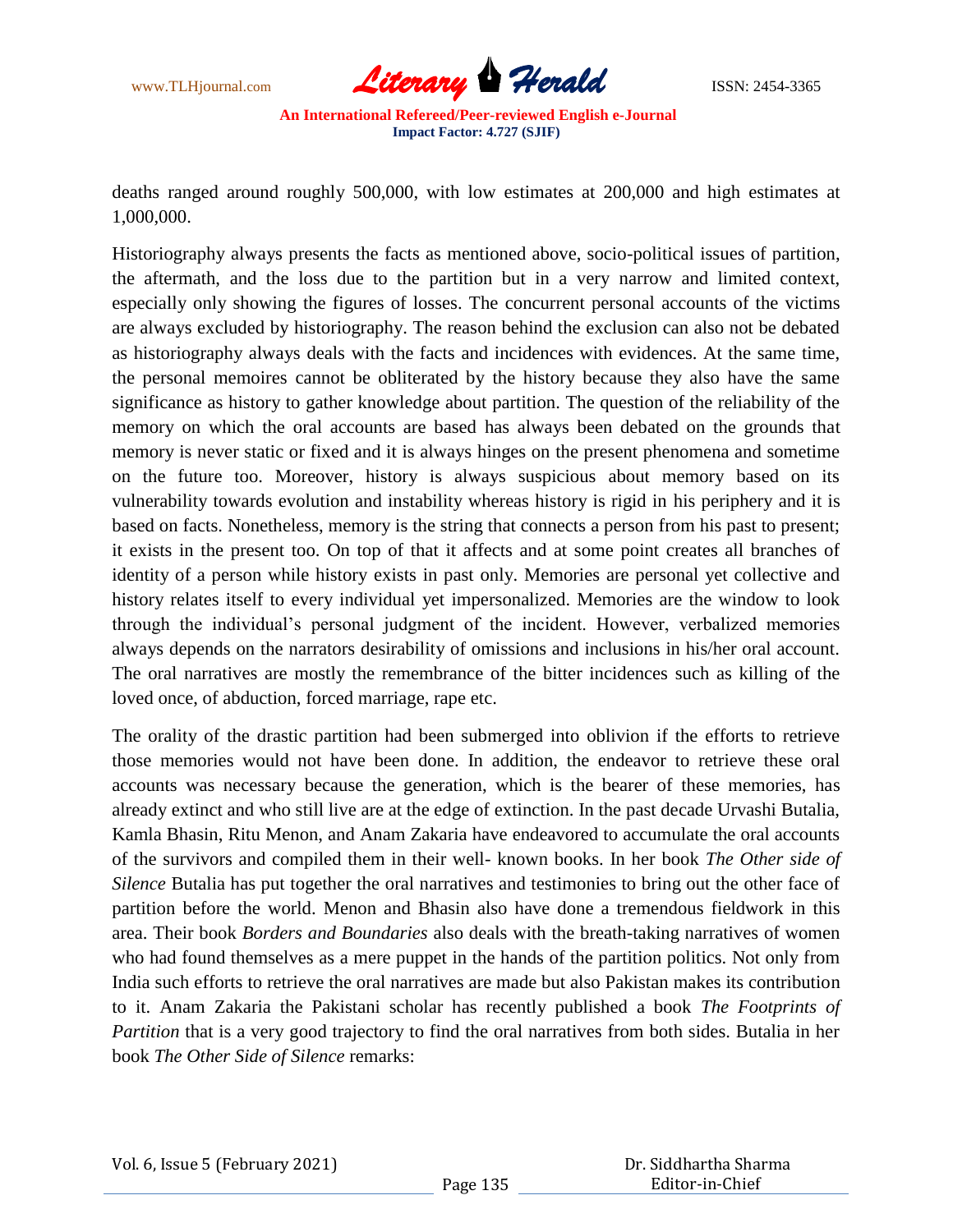

deaths ranged around roughly 500,000, with low estimates at 200,000 and high estimates at 1,000,000.

Historiography always presents the facts as mentioned above, socio-political issues of partition, the aftermath, and the loss due to the partition but in a very narrow and limited context, especially only showing the figures of losses. The concurrent personal accounts of the victims are always excluded by historiography. The reason behind the exclusion can also not be debated as historiography always deals with the facts and incidences with evidences. At the same time, the personal memoires cannot be obliterated by the history because they also have the same significance as history to gather knowledge about partition. The question of the reliability of the memory on which the oral accounts are based has always been debated on the grounds that memory is never static or fixed and it is always hinges on the present phenomena and sometime on the future too. Moreover, history is always suspicious about memory based on its vulnerability towards evolution and instability whereas history is rigid in his periphery and it is based on facts. Nonetheless, memory is the string that connects a person from his past to present; it exists in the present too. On top of that it affects and at some point creates all branches of identity of a person while history exists in past only. Memories are personal yet collective and history relates itself to every individual yet impersonalized. Memories are the window to look through the individual"s personal judgment of the incident. However, verbalized memories always depends on the narrators desirability of omissions and inclusions in his/her oral account. The oral narratives are mostly the remembrance of the bitter incidences such as killing of the loved once, of abduction, forced marriage, rape etc.

The orality of the drastic partition had been submerged into oblivion if the efforts to retrieve those memories would not have been done. In addition, the endeavor to retrieve these oral accounts was necessary because the generation, which is the bearer of these memories, has already extinct and who still live are at the edge of extinction. In the past decade Urvashi Butalia, Kamla Bhasin, Ritu Menon, and Anam Zakaria have endeavored to accumulate the oral accounts of the survivors and compiled them in their well- known books. In her book *The Other side of Silence* Butalia has put together the oral narratives and testimonies to bring out the other face of partition before the world. Menon and Bhasin also have done a tremendous fieldwork in this area. Their book *Borders and Boundaries* also deals with the breath-taking narratives of women who had found themselves as a mere puppet in the hands of the partition politics. Not only from India such efforts to retrieve the oral narratives are made but also Pakistan makes its contribution to it. Anam Zakaria the Pakistani scholar has recently published a book *The Footprints of Partition* that is a very good trajectory to find the oral narratives from both sides. Butalia in her book *The Other Side of Silence* remarks: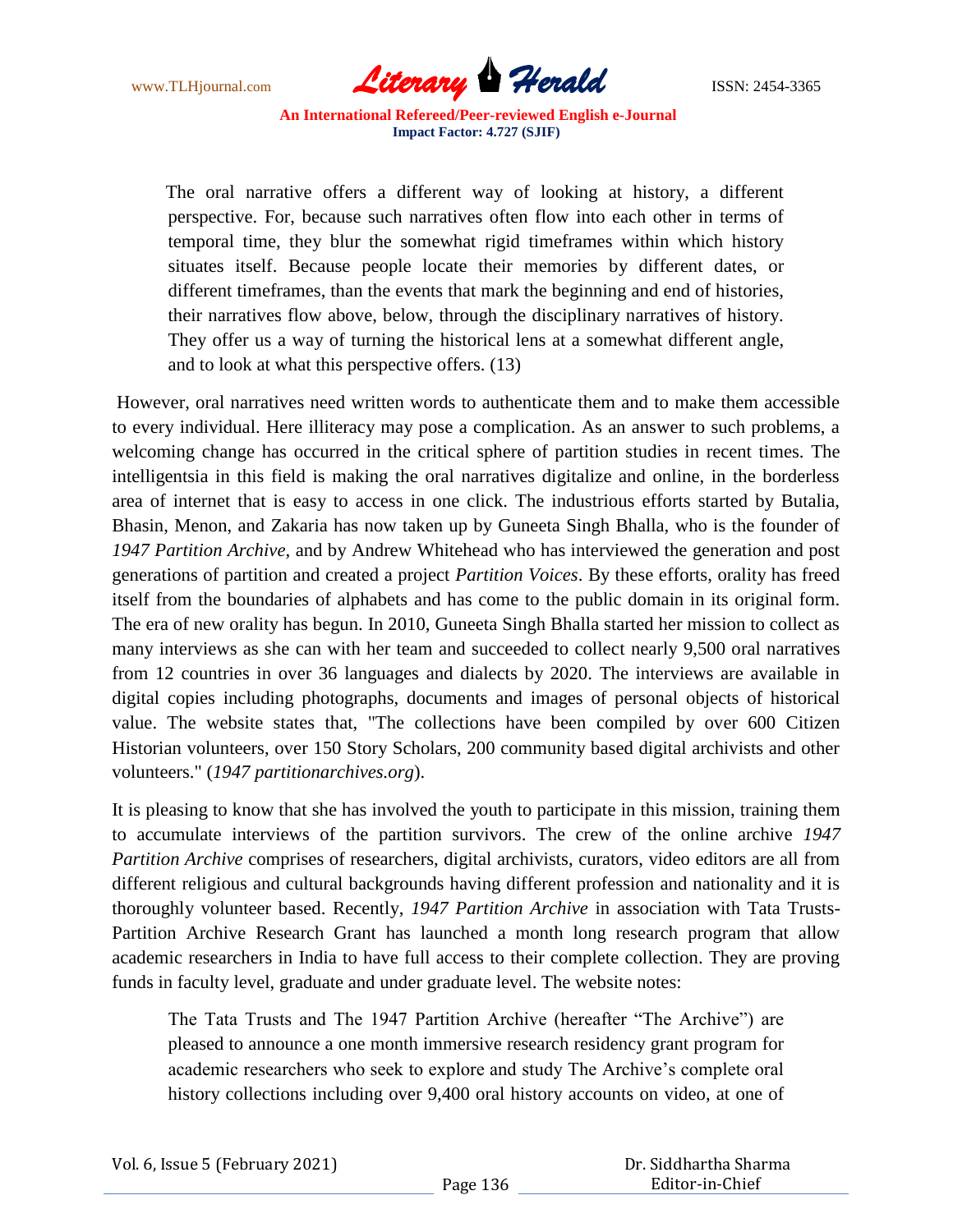

The oral narrative offers a different way of looking at history, a different perspective. For, because such narratives often flow into each other in terms of temporal time, they blur the somewhat rigid timeframes within which history situates itself. Because people locate their memories by different dates, or different timeframes, than the events that mark the beginning and end of histories, their narratives flow above, below, through the disciplinary narratives of history. They offer us a way of turning the historical lens at a somewhat different angle, and to look at what this perspective offers. (13)

However, oral narratives need written words to authenticate them and to make them accessible to every individual. Here illiteracy may pose a complication. As an answer to such problems, a welcoming change has occurred in the critical sphere of partition studies in recent times. The intelligentsia in this field is making the oral narratives digitalize and online, in the borderless area of internet that is easy to access in one click. The industrious efforts started by Butalia, Bhasin, Menon, and Zakaria has now taken up by Guneeta Singh Bhalla, who is the founder of *1947 Partition Archive*, and by Andrew Whitehead who has interviewed the generation and post generations of partition and created a project *Partition Voices*. By these efforts, orality has freed itself from the boundaries of alphabets and has come to the public domain in its original form. The era of new orality has begun. In 2010, Guneeta Singh Bhalla started her mission to collect as many interviews as she can with her team and succeeded to collect nearly 9,500 oral narratives from 12 countries in over 36 languages and dialects by 2020. The interviews are available in digital copies including photographs, documents and images of personal objects of historical value. The website states that, "The collections have been compiled by over 600 Citizen Historian volunteers, over 150 Story Scholars, 200 community based digital archivists and other volunteers." (*1947 partitionarchives.org*).

It is pleasing to know that she has involved the youth to participate in this mission, training them to accumulate interviews of the partition survivors. The crew of the online archive *1947 Partition Archive* comprises of researchers, digital archivists, curators, video editors are all from different religious and cultural backgrounds having different profession and nationality and it is thoroughly volunteer based. Recently, *1947 Partition Archive* in association with Tata Trusts-Partition Archive Research Grant has launched a month long research program that allow academic researchers in India to have full access to their complete collection. They are proving funds in faculty level, graduate and under graduate level. The website notes:

The Tata Trusts and The 1947 Partition Archive (hereafter "The Archive") are pleased to announce a one month immersive research residency grant program for academic researchers who seek to explore and study The Archive's complete oral history collections including over 9,400 oral history accounts on video, at one of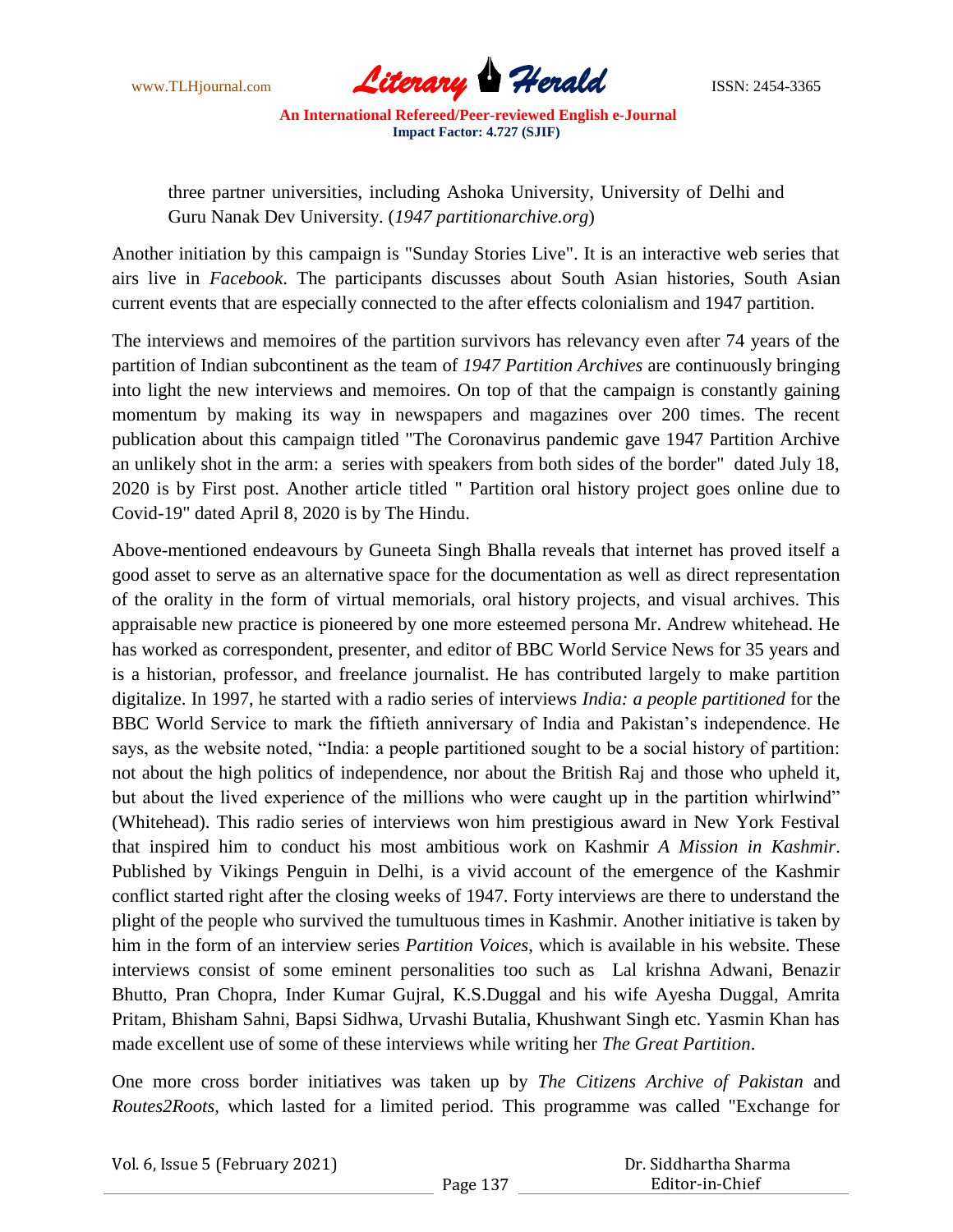

three partner universities, including Ashoka University, University of Delhi and Guru Nanak Dev University. (*1947 partitionarchive.org*)

Another initiation by this campaign is "Sunday Stories Live". It is an interactive web series that airs live in *Facebook*. The participants discusses about South Asian histories, South Asian current events that are especially connected to the after effects colonialism and 1947 partition.

The interviews and memoires of the partition survivors has relevancy even after 74 years of the partition of Indian subcontinent as the team of *1947 Partition Archives* are continuously bringing into light the new interviews and memoires. On top of that the campaign is constantly gaining momentum by making its way in newspapers and magazines over 200 times. The recent publication about this campaign titled "The Coronavirus pandemic gave 1947 Partition Archive an unlikely shot in the arm: a series with speakers from both sides of the border" dated July 18, 2020 is by First post. Another article titled " Partition oral history project goes online due to Covid-19" dated April 8, 2020 is by The Hindu.

Above-mentioned endeavours by Guneeta Singh Bhalla reveals that internet has proved itself a good asset to serve as an alternative space for the documentation as well as direct representation of the orality in the form of virtual memorials, oral history projects, and visual archives. This appraisable new practice is pioneered by one more esteemed persona Mr. Andrew whitehead. He has worked as correspondent, presenter, and editor of BBC World Service News for 35 years and is a historian, professor, and freelance journalist. He has contributed largely to make partition digitalize. In 1997, he started with a radio series of interviews *India: a people partitioned* for the BBC World Service to mark the fiftieth anniversary of India and Pakistan"s independence. He says, as the website noted, "India: a people partitioned sought to be a social history of partition: not about the high politics of independence, nor about the British Raj and those who upheld it, but about the lived experience of the millions who were caught up in the partition whirlwind" (Whitehead). This radio series of interviews won him prestigious award in New York Festival that inspired him to conduct his most ambitious work on Kashmir *A Mission in Kashmir*. Published by Vikings Penguin in Delhi, is a vivid account of the emergence of the Kashmir conflict started right after the closing weeks of 1947. Forty interviews are there to understand the plight of the people who survived the tumultuous times in Kashmir. Another initiative is taken by him in the form of an interview series *Partition Voices*, which is available in his website. These interviews consist of some eminent personalities too such as Lal krishna Adwani, Benazir Bhutto, Pran Chopra, Inder Kumar Gujral, K.S.Duggal and his wife Ayesha Duggal, Amrita Pritam, Bhisham Sahni, Bapsi Sidhwa, Urvashi Butalia, Khushwant Singh etc. Yasmin Khan has made excellent use of some of these interviews while writing her *The Great Partition*.

One more cross border initiatives was taken up by *The Citizens Archive of Pakistan* and *Routes2Roots*, which lasted for a limited period. This programme was called "Exchange for

| Vol. 6, Issue 5 (February 2021) |          | Dr. Siddhartha Sharma |
|---------------------------------|----------|-----------------------|
|                                 | Page 137 | Editor-in-Chief       |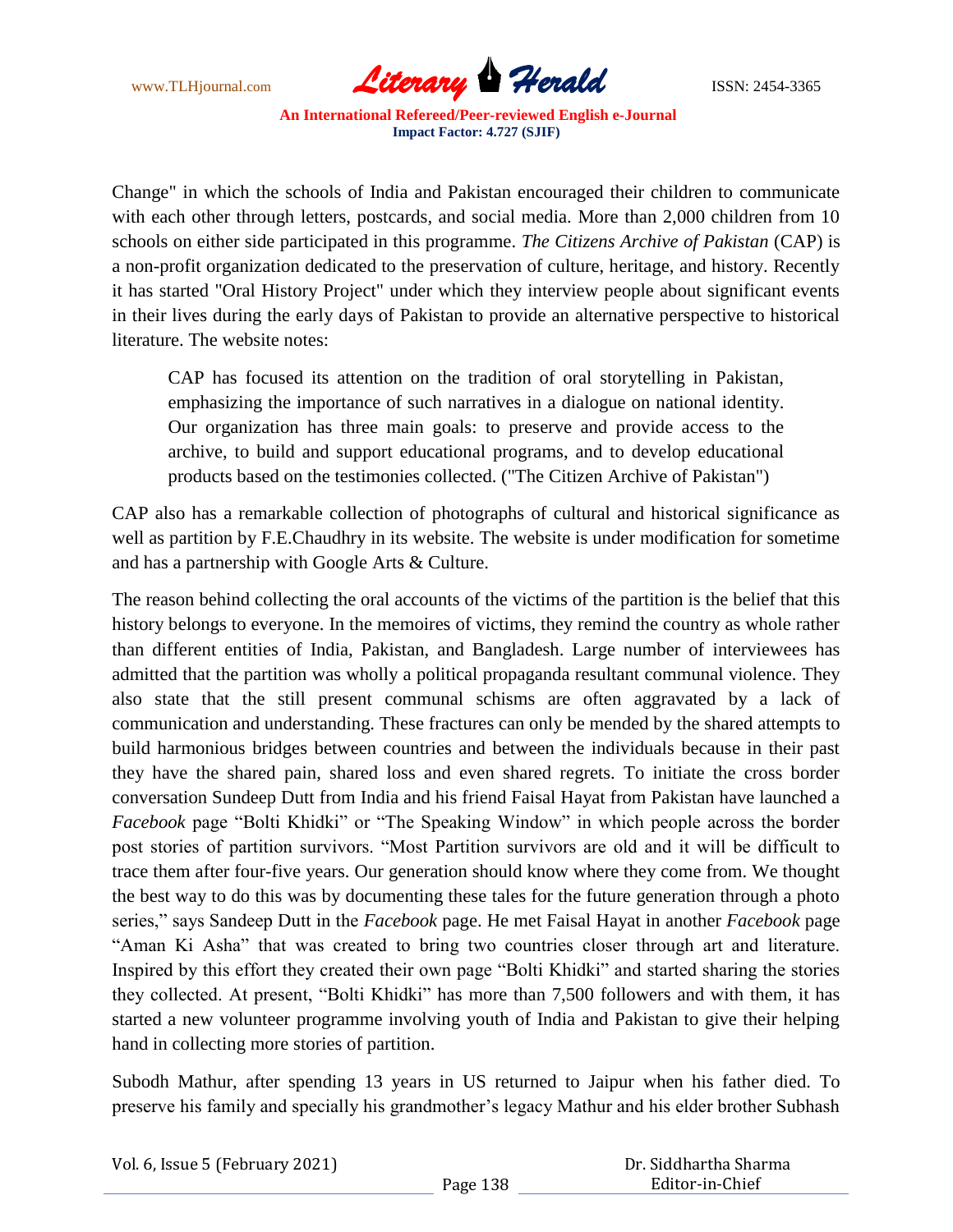

Change" in which the schools of India and Pakistan encouraged their children to communicate with each other through letters, postcards, and social media. More than 2,000 children from 10 schools on either side participated in this programme. *The Citizens Archive of Pakistan* (CAP) is a non-profit organization dedicated to the preservation of culture, heritage, and history. Recently it has started "Oral History Project" under which they interview people about significant events in their lives during the early days of Pakistan to provide an alternative perspective to historical literature. The website notes:

CAP has focused its attention on the tradition of oral storytelling in Pakistan, emphasizing the importance of such narratives in a dialogue on national identity. Our organization has three main goals: to preserve and provide access to the archive, to build and support educational programs, and to develop educational products based on the testimonies collected. ("The Citizen Archive of Pakistan")

CAP also has a remarkable collection of photographs of cultural and historical significance as well as partition by F.E.Chaudhry in its website. The website is under modification for sometime and has a partnership with Google Arts & Culture.

The reason behind collecting the oral accounts of the victims of the partition is the belief that this history belongs to everyone. In the memoires of victims, they remind the country as whole rather than different entities of India, Pakistan, and Bangladesh. Large number of interviewees has admitted that the partition was wholly a political propaganda resultant communal violence. They also state that the still present communal schisms are often aggravated by a lack of communication and understanding. These fractures can only be mended by the shared attempts to build harmonious bridges between countries and between the individuals because in their past they have the shared pain, shared loss and even shared regrets. To initiate the cross border conversation Sundeep Dutt from India and his friend Faisal Hayat from Pakistan have launched a *Facebook* page "Bolti Khidki" or "The Speaking Window" in which people across the border post stories of partition survivors. "Most Partition survivors are old and it will be difficult to trace them after four-five years. Our generation should know where they come from. We thought the best way to do this was by documenting these tales for the future generation through a photo series," says Sandeep Dutt in the *Facebook* page. He met Faisal Hayat in another *Facebook* page "Aman Ki Asha" that was created to bring two countries closer through art and literature. Inspired by this effort they created their own page "Bolti Khidki" and started sharing the stories they collected. At present, "Bolti Khidki" has more than 7,500 followers and with them, it has started a new volunteer programme involving youth of India and Pakistan to give their helping hand in collecting more stories of partition.

Subodh Mathur, after spending 13 years in US returned to Jaipur when his father died. To preserve his family and specially his grandmother"s legacy Mathur and his elder brother Subhash

| Vol. 6, Issue 5 (February 2021) |  |  |
|---------------------------------|--|--|
|---------------------------------|--|--|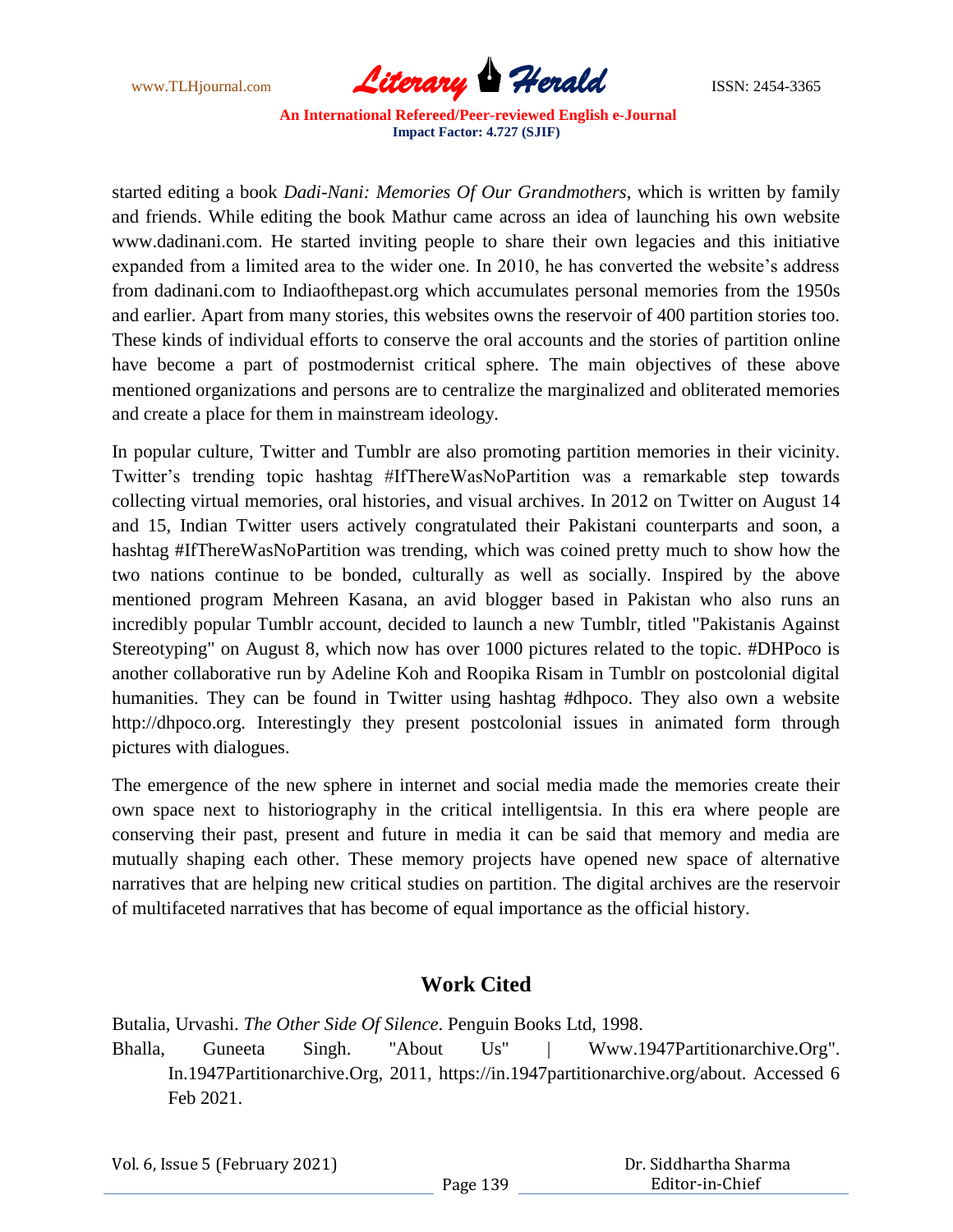

started editing a book *Dadi-Nani: Memories Of Our Grandmothers*, which is written by family and friends. While editing the book Mathur came across an idea of launching his own website www.dadinani.com. He started inviting people to share their own legacies and this initiative expanded from a limited area to the wider one. In 2010, he has converted the website's address from dadinani.com to Indiaofthepast.org which accumulates personal memories from the 1950s and earlier. Apart from many stories, this websites owns the reservoir of 400 partition stories too. These kinds of individual efforts to conserve the oral accounts and the stories of partition online have become a part of postmodernist critical sphere. The main objectives of these above mentioned organizations and persons are to centralize the marginalized and obliterated memories and create a place for them in mainstream ideology.

In popular culture, Twitter and Tumblr are also promoting partition memories in their vicinity. Twitter"s trending topic hashtag #IfThereWasNoPartition was a remarkable step towards collecting virtual memories, oral histories, and visual archives. In 2012 on Twitter on August 14 and 15, Indian Twitter users actively congratulated their Pakistani counterparts and soon, a hashtag #IfThereWasNoPartition was trending, which was coined pretty much to show how the two nations continue to be bonded, culturally as well as socially. Inspired by the above mentioned program Mehreen Kasana, an avid blogger based in Pakistan who also runs an incredibly popular Tumblr account, decided to launch a new Tumblr, titled "Pakistanis Against Stereotyping" on August 8, which now has over 1000 pictures related to the topic. #DHPoco is another collaborative run by Adeline Koh and Roopika Risam in Tumblr on postcolonial digital humanities. They can be found in Twitter using hashtag #dhpoco. They also own a website http://dhpoco.org. Interestingly they present postcolonial issues in animated form through pictures with dialogues.

The emergence of the new sphere in internet and social media made the memories create their own space next to historiography in the critical intelligentsia. In this era where people are conserving their past, present and future in media it can be said that memory and media are mutually shaping each other. These memory projects have opened new space of alternative narratives that are helping new critical studies on partition. The digital archives are the reservoir of multifaceted narratives that has become of equal importance as the official history.

## **Work Cited**

Butalia, Urvashi. *The Other Side Of Silence*. Penguin Books Ltd, 1998.

Bhalla, Guneeta Singh. "About Us" | Www.1947Partitionarchive.Org". In.1947Partitionarchive.Org, 2011, https://in.1947partitionarchive.org/about. Accessed 6 Feb 2021.

| Vol. 6, Issue 5 (February 2021) |  |  |
|---------------------------------|--|--|
|---------------------------------|--|--|